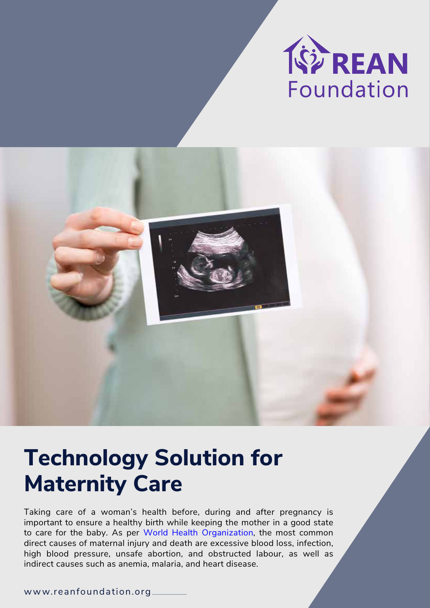

# **Technology Solution for Maternity Care**

Taking care of a woman's health before, during and after pregnancy is important to ensure a healthy birth while keeping the mother in a good state to care for the baby. As per [World Health](https://www.who.int/health-topics/maternal-health#tab=tab_1) Organization, the most common direct causes of maternal injury and death are excessive blood loss, infection, high blood pressure, unsafe abortion, and obstructed labour, as well as indirect causes such as anemia, malaria, and heart disease.

www.reanfoundation.org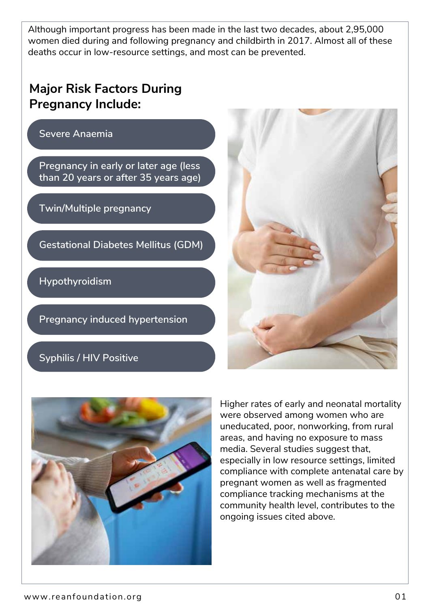Although important progress has been made in the last two decades, about 2,95,000 women died during and following pregnancy and childbirth in 2017. Almost all of these deaths occur in low-resource settings, and most can be prevented.

## **Major Risk Factors During Pregnancy Include:**

**Severe Anaemia** 

**Pregnancy in early or later age (less than 20 years or after 35 years age)** 

**Twin/Multiple pregnancy**

**Gestational Diabetes Mellitus (GDM)**

**Hypothyroidism**

**Pregnancy induced hypertension**

### **Syphilis / HIV Positive**





Higher rates of early and neonatal mortality were observed among women who are uneducated, poor, nonworking, from rural areas, and having no exposure to mass media. Several studies suggest that, especially in low resource settings, limited compliance with complete antenatal care by pregnant women as well as fragmented compliance tracking mechanisms at the community health level, contributes to the ongoing issues cited above.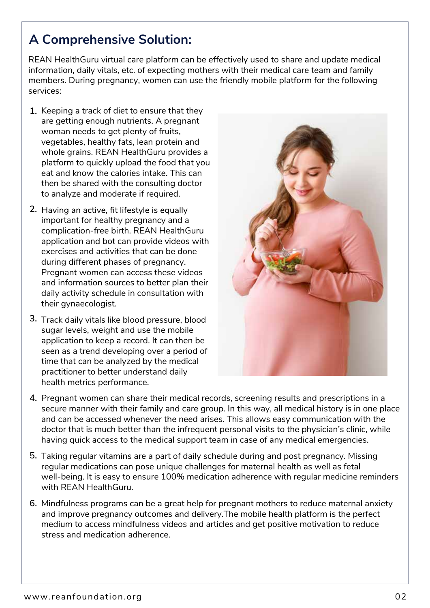# **A Comprehensive Solution:**

REAN HealthGuru virtual care platform can be effectively used to share and update medical information, daily vitals, etc. of expecting mothers with their medical care team and family members. During pregnancy, women can use the friendly mobile platform for the following services:

- 1. Keeping a track of diet to ensure that they are getting enough nutrients. A pregnant woman needs to get plenty of fruits, vegetables, healthy fats, lean protein and whole grains. REAN HealthGuru provides a platform to quickly upload the food that you eat and know the calories intake. This can then be shared with the consulting doctor to analyze and moderate if required.
- important for healthy pregnancy and a complication-free birth. REAN HealthGuru application and bot can provide videos with exercises and activities that can be done during different phases of pregnancy. Pregnant women can access these videos and information sources to better plan their daily activity schedule in consultation with their gynaecologist. 2. Having an active, fit lifestyle is equally
- 3. Track daily vitals like blood pressure, blood sugar levels, weight and use the mobile application to keep a record. It can then be seen as a trend developing over a period of time that can be analyzed by the medical practitioner to better understand daily health metrics performance.



- Pregnant women can share their medical records, screening results and prescriptions in a **4.** secure manner with their family and care group. In this way, all medical history is in one place and can be accessed whenever the need arises. This allows easy communication with the doctor that is much better than the infrequent personal visits to the physician's clinic, while having quick access to the medical support team in case of any medical emergencies.
- Taking regular vitamins are a part of daily schedule during and post pregnancy. Missing **5.** regular medications can pose unique challenges for maternal health as well as fetal well-being. It is easy to ensure 100% medication adherence with regular medicine reminders with REAN HealthGuru.
- Mindfulness programs can be a great help for pregnant mothers to reduce maternal anxiety **6.**and improve pregnancy outcomes and delivery.The mobile health platform is the perfect medium to access mindfulness videos and articles and get positive motivation to reduce stress and medication adherence.